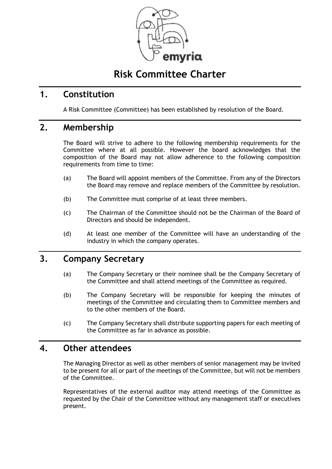

# **Risk Committee Charter**

### **1. Constitution**

A Risk Committee (Committee) has been established by resolution of the Board.

### **2. Membership**

The Board will strive to adhere to the following membership requirements for the Committee where at all possible. However the board acknowledges that the composition of the Board may not allow adherence to the following composition requirements from time to time:

- (a) The Board will appoint members of the Committee. From any of the Directors the Board may remove and replace members of the Committee by resolution.
- (b) The Committee must comprise of at least three members.
- (c) The Chairman of the Committee should not be the Chairman of the Board of Directors and should be independent.
- (d) At least one member of the Committee will have an understanding of the industry in which the company operates.

## **3. Company Secretary**

- (a) The Company Secretary or their nominee shall be the Company Secretary of the Committee and shall attend meetings of the Committee as required.
- (b) The Company Secretary will be responsible for keeping the minutes of meetings of the Committee and circulating them to Committee members and to the other members of the Board.
- (c) The Company Secretary shall distribute supporting papers for each meeting of the Committee as far in advance as possible.

#### **4. Other attendees**

The Managing Director as well as other members of senior management may be invited to be present for all or part of the meetings of the Committee, but will not be members of the Committee.

Representatives of the external auditor may attend meetings of the Committee as requested by the Chair of the Committee without any management staff or executives present.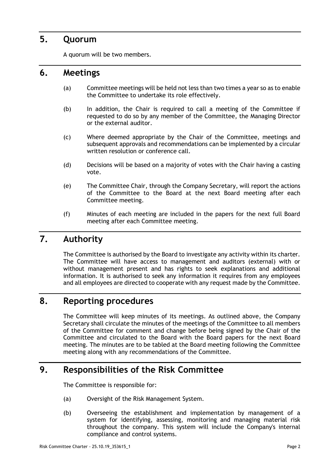### **5. Quorum**

A quorum will be two members.

#### **6. Meetings**

- (a) Committee meetings will be held not less than two times a year so as to enable the Committee to undertake its role effectively.
- (b) In addition, the Chair is required to call a meeting of the Committee if requested to do so by any member of the Committee, the Managing Director or the external auditor.
- (c) Where deemed appropriate by the Chair of the Committee, meetings and subsequent approvals and recommendations can be implemented by a circular written resolution or conference call.
- (d) Decisions will be based on a majority of votes with the Chair having a casting vote.
- (e) The Committee Chair, through the Company Secretary, will report the actions of the Committee to the Board at the next Board meeting after each Committee meeting.
- (f) Minutes of each meeting are included in the papers for the next full Board meeting after each Committee meeting.

## **7. Authority**

The Committee is authorised by the Board to investigate any activity within its charter. The Committee will have access to management and auditors (external) with or without management present and has rights to seek explanations and additional information. It is authorised to seek any information it requires from any employees and all employees are directed to cooperate with any request made by the Committee.

### **8. Reporting procedures**

The Committee will keep minutes of its meetings. As outlined above, the Company Secretary shall circulate the minutes of the meetings of the Committee to all members of the Committee for comment and change before being signed by the Chair of the Committee and circulated to the Board with the Board papers for the next Board meeting. The minutes are to be tabled at the Board meeting following the Committee meeting along with any recommendations of the Committee.

## **9. Responsibilities of the Risk Committee**

The Committee is responsible for:

- (a) Oversight of the Risk Management System.
- (b) Overseeing the establishment and implementation by management of a system for identifying, assessing, monitoring and managing material risk throughout the company. This system will include the Company's internal compliance and control systems.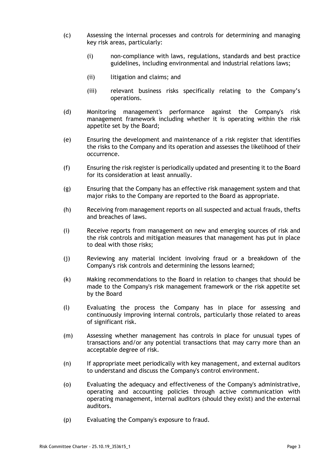- (c) Assessing the internal processes and controls for determining and managing key risk areas, particularly:
	- (i) non-compliance with laws, regulations, standards and best practice guidelines, including environmental and industrial relations laws;
	- (ii) litigation and claims; and
	- (iii) relevant business risks specifically relating to the Company's operations.
- (d) Monitoring management's performance against the Company's risk management framework including whether it is operating within the risk appetite set by the Board;
- (e) Ensuring the development and maintenance of a risk register that identifies the risks to the Company and its operation and assesses the likelihood of their occurrence.
- (f) Ensuring the risk register is periodically updated and presenting it to the Board for its consideration at least annually.
- (g) Ensuring that the Company has an effective risk management system and that major risks to the Company are reported to the Board as appropriate.
- (h) Receiving from management reports on all suspected and actual frauds, thefts and breaches of laws.
- (i) Receive reports from management on new and emerging sources of risk and the risk controls and mitigation measures that management has put in place to deal with those risks;
- (j) Reviewing any material incident involving fraud or a breakdown of the Company's risk controls and determining the lessons learned;
- (k) Making recommendations to the Board in relation to changes that should be made to the Company's risk management framework or the risk appetite set by the Board
- (l) Evaluating the process the Company has in place for assessing and continuously improving internal controls, particularly those related to areas of significant risk.
- (m) Assessing whether management has controls in place for unusual types of transactions and/or any potential transactions that may carry more than an acceptable degree of risk.
- (n) If appropriate meet periodically with key management, and external auditors to understand and discuss the Company's control environment.
- (o) Evaluating the adequacy and effectiveness of the Company's administrative, operating and accounting policies through active communication with operating management, internal auditors (should they exist) and the external auditors.
- (p) Evaluating the Company's exposure to fraud.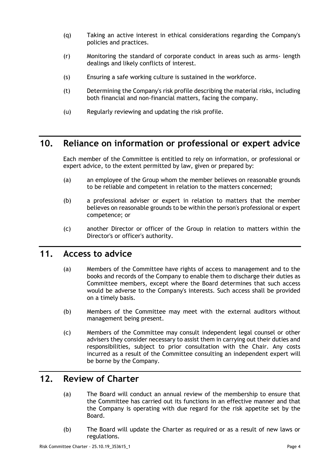- (q) Taking an active interest in ethical considerations regarding the Company's policies and practices.
- (r) Monitoring the standard of corporate conduct in areas such as arms- length dealings and likely conflicts of interest.
- (s) Ensuring a safe working culture is sustained in the workforce.
- (t) Determining the Company's risk profile describing the material risks, including both financial and non-financial matters, facing the company.
- (u) Regularly reviewing and updating the risk profile.

## **10. Reliance on information or professional or expert advice**

Each member of the Committee is entitled to rely on information, or professional or expert advice, to the extent permitted by law, given or prepared by:

- (a) an employee of the Group whom the member believes on reasonable grounds to be reliable and competent in relation to the matters concerned;
- (b) a professional adviser or expert in relation to matters that the member believes on reasonable grounds to be within the person's professional or expert competence; or
- (c) another Director or officer of the Group in relation to matters within the Director's or officer's authority.

### **11. Access to advice**

- (a) Members of the Committee have rights of access to management and to the books and records of the Company to enable them to discharge their duties as Committee members, except where the Board determines that such access would be adverse to the Company's interests. Such access shall be provided on a timely basis.
- (b) Members of the Committee may meet with the external auditors without management being present.
- (c) Members of the Committee may consult independent legal counsel or other advisers they consider necessary to assist them in carrying out their duties and responsibilities, subject to prior consultation with the Chair. Any costs incurred as a result of the Committee consulting an independent expert will be borne by the Company.

### **12. Review of Charter**

- (a) The Board will conduct an annual review of the membership to ensure that the Committee has carried out its functions in an effective manner and that the Company is operating with due regard for the risk appetite set by the Board.
- (b) The Board will update the Charter as required or as a result of new laws or regulations.